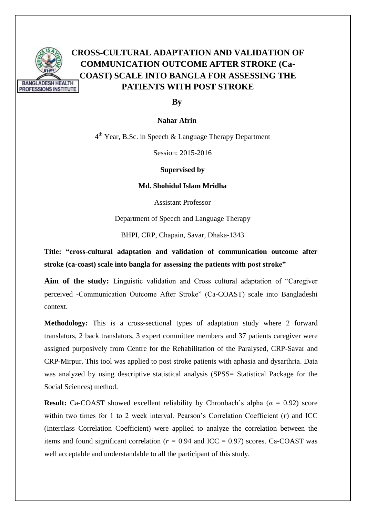

# **CROSS-CULTURAL ADAPTATION AND VALIDATION OF COMMUNICATION OUTCOME AFTER STROKE (Ca-COAST) SCALE INTO BANGLA FOR ASSESSING THE PATIENTS WITH POST STROKE**

#### **By**

#### **Nahar Afrin**

4<sup>th</sup> Year, B.Sc. in Speech & Language Therapy Department

Session: 2015-2016

**Supervised by** 

**Md. Shohidul Islam Mridha**

Assistant Professor

Department of Speech and Language Therapy

BHPI, CRP, Chapain, Savar, Dhaka-1343

**Title: "cross-cultural adaptation and validation of communication outcome after stroke (ca-coast) scale into bangla for assessing the patients with post stroke"**

**Aim of the study:** Linguistic validation and Cross cultural adaptation of "Caregiver perceived -Communication Outcome After Stroke" (Ca-COAST) scale into Bangladeshi context.

**Methodology:** This is a cross-sectional types of adaptation study where 2 forward translators, 2 back translators, 3 expert committee members and 37 patients caregiver were assigned purposively from Centre for the Rehabilitation of the Paralysed, CRP-Savar and CRP-Mirpur. This tool was applied to post stroke patients with aphasia and dysarthria. Data was analyzed by using descriptive statistical analysis (SPSS= Statistical Package for the Social Sciences) method.

**Result:** Ca-COAST showed excellent reliability by Chronbach's alpha ( $\alpha = 0.92$ ) score within two times for 1 to 2 week interval. Pearson's Correlation Coefficient (*r*) and ICC (Interclass Correlation Coefficient) were applied to analyze the correlation between the items and found significant correlation ( $r = 0.94$  and ICC = 0.97) scores. Ca-COAST was well acceptable and understandable to all the participant of this study.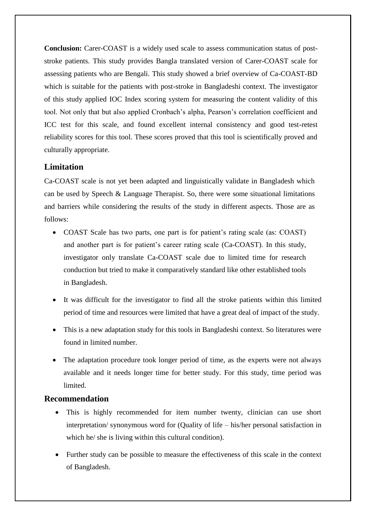**Conclusion:** Carer-COAST is a widely used scale to assess communication status of poststroke patients. This study provides Bangla translated version of Carer-COAST scale for assessing patients who are Bengali. This study showed a brief overview of Ca-COAST-BD which is suitable for the patients with post-stroke in Bangladeshi context. The investigator of this study applied IOC Index scoring system for measuring the content validity of this tool. Not only that but also applied Cronbach's alpha, Pearson's correlation coefficient and ICC test for this scale, and found excellent internal consistency and good test-retest reliability scores for this tool. These scores proved that this tool is scientifically proved and culturally appropriate.

# **Limitation**

Ca-COAST scale is not yet been adapted and linguistically validate in Bangladesh which can be used by Speech & Language Therapist. So, there were some situational limitations and barriers while considering the results of the study in different aspects. Those are as follows:

- COAST Scale has two parts, one part is for patient's rating scale (as: COAST) and another part is for patient's career rating scale (Ca-COAST). In this study, investigator only translate Ca-COAST scale due to limited time for research conduction but tried to make it comparatively standard like other established tools in Bangladesh.
- It was difficult for the investigator to find all the stroke patients within this limited period of time and resources were limited that have a great deal of impact of the study.
- This is a new adaptation study for this tools in Bangladeshi context. So literatures were found in limited number.
- The adaptation procedure took longer period of time, as the experts were not always available and it needs longer time for better study. For this study, time period was limited.

## **Recommendation**

- This is highly recommended for item number twenty, clinician can use short interpretation/ synonymous word for (Quality of life – his/her personal satisfaction in which he/ she is living within this cultural condition).
- Further study can be possible to measure the effectiveness of this scale in the context of Bangladesh.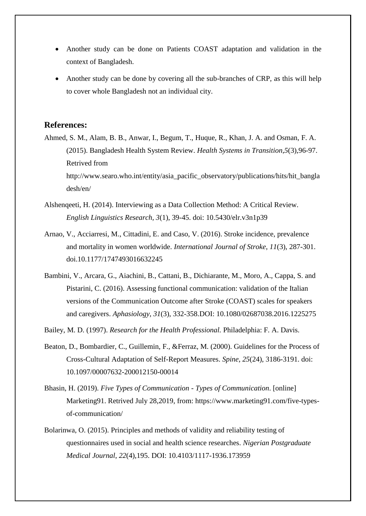- Another study can be done on Patients COAST adaptation and validation in the context of Bangladesh.
- Another study can be done by covering all the sub-branches of CRP, as this will help to cover whole Bangladesh not an individual city.

### **References:**

- Ahmed, S. M., Alam, B. B., Anwar, I., Begum, T., Huque, R., Khan, J. A. and Osman, F. A. (2015). Bangladesh Health System Review. *Health Systems in Transition*,*5*(3),96-97. Retrived from http://www.searo.who.int/entity/asia\_pacific\_observatory/publications/hits/hit\_bangla desh/en/
- Alshenqeeti, H. (2014). Interviewing as a Data Collection Method: A Critical Review. *English Linguistics Research, 3*(1), 39-45. doi: 10.5430/elr.v3n1p39
- Arnao, V., Acciarresi, M., Cittadini, E. and Caso, V. (2016). Stroke incidence, prevalence and mortality in women worldwide. *International Journal of Stroke*, *11*(3), 287-301. doi.10.1177/1747493016632245
- Bambini, V., Arcara, G., Aiachini, B., Cattani, B., Dichiarante, M., Moro, A., Cappa, S. and Pistarini, C. (2016). Assessing functional communication: validation of the Italian versions of the Communication Outcome after Stroke (COAST) scales for speakers and caregivers. *Aphasiology*, *31*(3), 332-358.DOI: 10.1080/02687038.2016.1225275

Bailey, M. D. (1997). *Research for the Health Professional.* Philadelphia: F. A. Davis.

- Beaton, D., Bombardier, C., Guillemin, F., &Ferraz, M. (2000). Guidelines for the Process of Cross-Cultural Adaptation of Self-Report Measures. *Spine*, *25*(24), 3186-3191. doi: 10.1097/00007632-200012150-00014
- Bhasin, H. (2019). *Five Types of Communication - Types of Communication*. [online] Marketing91. Retrived July 28,2019, from: https://www.marketing91.com/five-typesof-communication/
- Bolarinwa, O. (2015). Principles and methods of validity and reliability testing of questionnaires used in social and health science researches. *Nigerian Postgraduate Medical Journal*, *22*(4),195. DOI: 10.4103/1117-1936.173959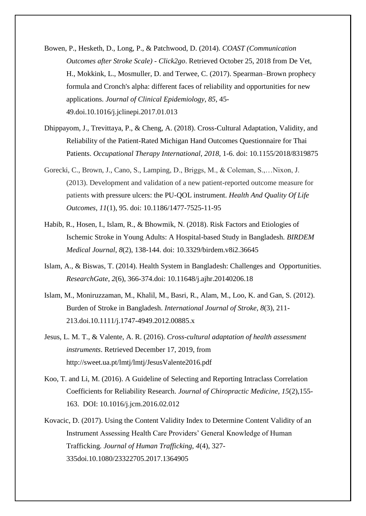- Bowen, P., Hesketh, D., Long, P., & Patchwood, D. (2014). *COAST (Communication Outcomes after Stroke Scale) - Click2go*. Retrieved October 25, 2018 from De Vet, H., Mokkink, L., Mosmuller, D. and Terwee, C. (2017). Spearman–Brown prophecy formula and Cronch's alpha: different faces of reliability and opportunities for new applications. *Journal of Clinical Epidemiology*, *85*, 45- 49.doi.10.1016/j.jclinepi.2017.01.013
- Dhippayom, J., Trevittaya, P., & Cheng, A. (2018). Cross-Cultural Adaptation, Validity, and Reliability of the Patient-Rated Michigan Hand Outcomes Questionnaire for Thai Patients. *Occupational Therapy International*, *2018*, 1-6. doi: 10.1155/2018/8319875
- Gorecki, C., Brown, J., Cano, S., Lamping, D., Briggs, M., & Coleman, S.,…Nixon, J. (2013). Development and validation of a new patient-reported outcome measure for patients with pressure ulcers: the PU-QOL instrument. *Health And Quality Of Life Outcomes*, *11*(1), 95. doi: 10.1186/1477-7525-11-95
- Habib, R., Hosen, I., Islam, R., & Bhowmik, N. (2018). Risk Factors and Etiologies of Ischemic Stroke in Young Adults: A Hospital-based Study in Bangladesh. *BIRDEM Medical Journal*, *8*(2), 138-144. doi: 10.3329/birdem.v8i2.36645
- Islam, A., & Biswas, T. (2014). Health System in Bangladesh: Challenges and Opportunities. *ResearchGate*, *2*(6), 366-374.doi: 10.11648/j.ajhr.20140206.18
- Islam, M., Moniruzzaman, M., Khalil, M., Basri, R., Alam, M., Loo, K. and Gan, S. (2012). Burden of Stroke in Bangladesh. *International Journal of Stroke*, *8*(3), 211- 213.doi.10.1111/j.1747-4949.2012.00885.x
- Jesus, L. M. T., & Valente, A. R. (2016). *Cross-cultural adaptation of health assessment instruments*. Retrieved December 17, 2019, from http://sweet.ua.pt/lmtj/lmtj/JesusValente2016.pdf
- Koo, T. and Li, M. (2016). A Guideline of Selecting and Reporting Intraclass Correlation Coefficients for Reliability Research. *Journal of Chiropractic Medicine*, *15*(2),155- 163. DOI: 10.1016/j.jcm.2016.02.012
- Kovacic, D. (2017). Using the Content Validity Index to Determine Content Validity of an Instrument Assessing Health Care Providers' General Knowledge of Human Trafficking. *Journal of Human Trafficking, 4*(4), 327- 335doi.10.1080/23322705.2017.1364905